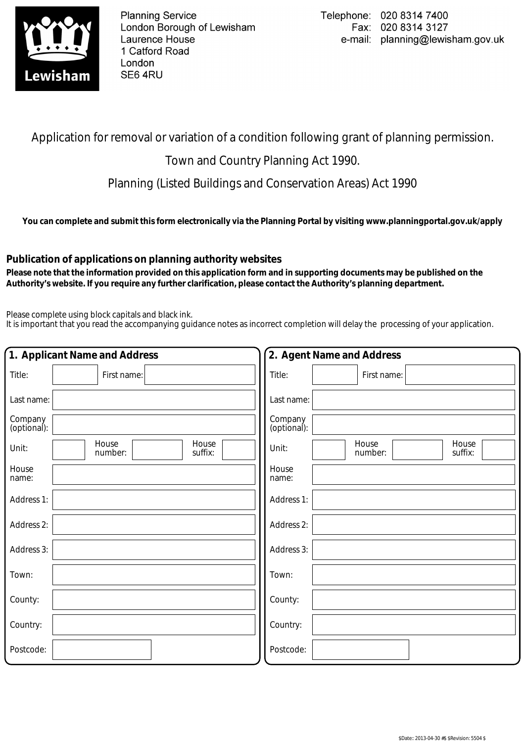

**Planning Service** London Borough of Lewisham Laurence House 1 Catford Road London SE6 4RU

## Application for removal or variation of a condition following grant of planning permission.

## Town and Country Planning Act 1990.

Planning (Listed Buildings and Conservation Areas) Act 1990

**You can complete and submit this form electronically via the Planning Portal by visiting www.planningportal.gov.uk/apply**

## **Publication of applications on planning authority websites**

 **Please note that the information provided on this application form and in supporting documents may be published on the Authority's website. If you require any further clarification, please contact the Authority's planning department.**

Please complete using block capitals and black ink.

It is important that you read the accompanying guidance notes as incorrect completion will delay the processing of your application.

| 1. Applicant Name and Address |                                      |                        | 2. Agent Name and Address |                  |
|-------------------------------|--------------------------------------|------------------------|---------------------------|------------------|
| Title:                        | First name:                          | Title:                 | First name:               |                  |
| Last name:                    |                                      | Last name:             |                           |                  |
| Company<br>(optional):        |                                      | Company<br>(optional): |                           |                  |
| Unit:                         | House<br>House<br>number:<br>suffix: | Unit:                  | House<br>number:          | House<br>suffix: |
| House<br>name:                |                                      | House<br>name:         |                           |                  |
| Address 1:                    |                                      | Address 1:             |                           |                  |
| Address 2:                    |                                      | Address 2:             |                           |                  |
| Address 3:                    |                                      | Address 3:             |                           |                  |
| Town:                         |                                      | Town:                  |                           |                  |
| County:                       |                                      | County:                |                           |                  |
| Country:                      |                                      | Country:               |                           |                  |
| Postcode:                     |                                      | Postcode:              |                           |                  |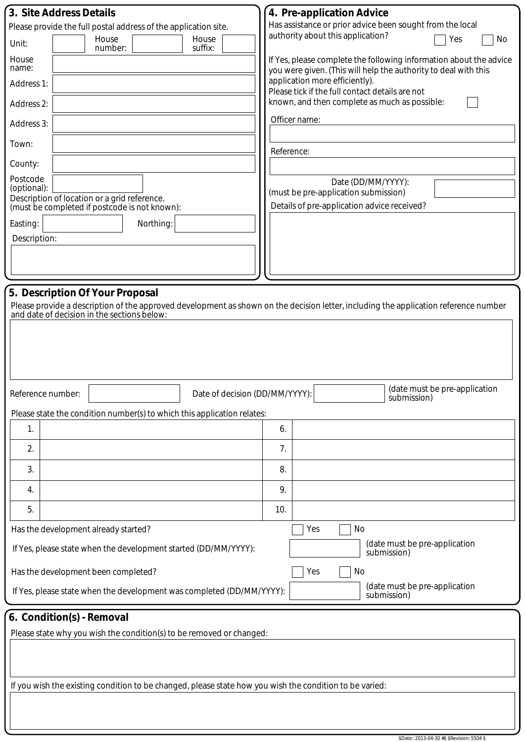| 3. Site Address Details                                                                                                                                                 | 4. Pre-application Advice                                                                                                             |  |  |
|-------------------------------------------------------------------------------------------------------------------------------------------------------------------------|---------------------------------------------------------------------------------------------------------------------------------------|--|--|
| Please provide the full postal address of the application site.<br>House<br>House                                                                                       | Has assistance or prior advice been sought from the local<br>authority about this application?<br>Yes<br>No                           |  |  |
| Unit:<br>number:<br>suffix:                                                                                                                                             |                                                                                                                                       |  |  |
| House<br>name:                                                                                                                                                          | If Yes, please complete the following information about the advice<br>you were given. (This will help the authority to deal with this |  |  |
| Address 1:                                                                                                                                                              | application more efficiently).<br>Please tick if the full contact details are not                                                     |  |  |
| Address 2:                                                                                                                                                              | known, and then complete as much as possible:                                                                                         |  |  |
| Address 3:                                                                                                                                                              | Officer name:                                                                                                                         |  |  |
| Town:                                                                                                                                                                   | Reference:                                                                                                                            |  |  |
| County:                                                                                                                                                                 |                                                                                                                                       |  |  |
| Postcode<br>(optional):                                                                                                                                                 | Date (DD/MM/YYYY):                                                                                                                    |  |  |
| Description of location or a grid reference.                                                                                                                            | (must be pre-application submission)                                                                                                  |  |  |
| (must be completed if postcode is not known):                                                                                                                           | Details of pre-application advice received?                                                                                           |  |  |
| Easting:<br>Northing:<br>Description:                                                                                                                                   |                                                                                                                                       |  |  |
|                                                                                                                                                                         |                                                                                                                                       |  |  |
|                                                                                                                                                                         |                                                                                                                                       |  |  |
|                                                                                                                                                                         |                                                                                                                                       |  |  |
| 5. Description Of Your Proposal<br>Please provide a description of the approved development as shown on the decision letter, including the application reference number |                                                                                                                                       |  |  |
| and date of decision in the sections below:                                                                                                                             |                                                                                                                                       |  |  |
|                                                                                                                                                                         |                                                                                                                                       |  |  |
|                                                                                                                                                                         |                                                                                                                                       |  |  |
|                                                                                                                                                                         |                                                                                                                                       |  |  |
|                                                                                                                                                                         |                                                                                                                                       |  |  |
| Date of decision (DD/MM/YYYY):<br>Reference number:                                                                                                                     | (date must be pre-application<br>submission)                                                                                          |  |  |
| Please state the condition number(s) to which this application relates:                                                                                                 |                                                                                                                                       |  |  |
| 1.                                                                                                                                                                      | 6.                                                                                                                                    |  |  |
| 2.                                                                                                                                                                      | 7.                                                                                                                                    |  |  |
| 3.                                                                                                                                                                      | 8.                                                                                                                                    |  |  |
| 4.                                                                                                                                                                      | 9.                                                                                                                                    |  |  |
| 5.                                                                                                                                                                      | 10.                                                                                                                                   |  |  |
| Has the development already started?                                                                                                                                    | No<br>Yes                                                                                                                             |  |  |
| If Yes, please state when the development started (DD/MM/YYYY):                                                                                                         | (date must be pre-application<br>submission)                                                                                          |  |  |
| Has the development been completed?                                                                                                                                     | Yes<br>No                                                                                                                             |  |  |
| If Yes, please state when the development was completed (DD/MM/YYYY):                                                                                                   | (date must be pre-application<br>submission)                                                                                          |  |  |
|                                                                                                                                                                         |                                                                                                                                       |  |  |
| 6. Condition(s) - Removal                                                                                                                                               |                                                                                                                                       |  |  |
| Please state why you wish the condition(s) to be removed or changed:                                                                                                    |                                                                                                                                       |  |  |
|                                                                                                                                                                         |                                                                                                                                       |  |  |
|                                                                                                                                                                         |                                                                                                                                       |  |  |
| If you wish the existing condition to be changed, please state how you wish the condition to be varied:                                                                 |                                                                                                                                       |  |  |
|                                                                                                                                                                         |                                                                                                                                       |  |  |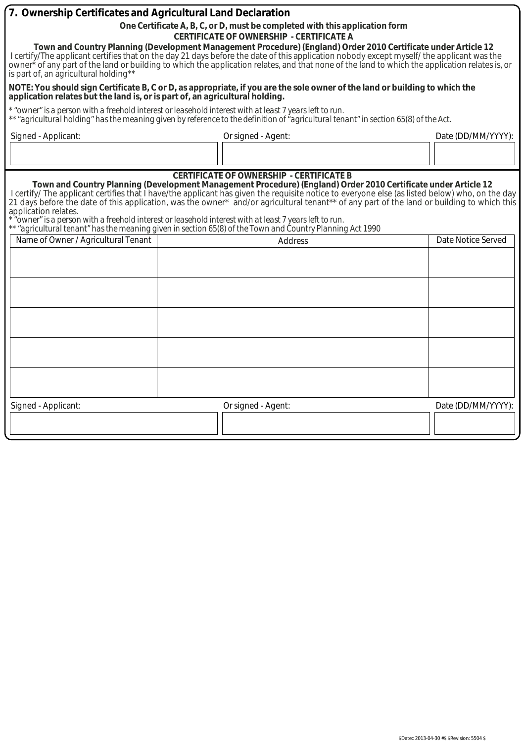| 7. Ownership Certificates and Agricultural Land Declaration                                                                                                                                                                                                                                                         |                                                                                                                                                                                                                                                                                                                                                                                                                           |                    |  |
|---------------------------------------------------------------------------------------------------------------------------------------------------------------------------------------------------------------------------------------------------------------------------------------------------------------------|---------------------------------------------------------------------------------------------------------------------------------------------------------------------------------------------------------------------------------------------------------------------------------------------------------------------------------------------------------------------------------------------------------------------------|--------------------|--|
| One Certificate A, B, C, or D, must be completed with this application form                                                                                                                                                                                                                                         |                                                                                                                                                                                                                                                                                                                                                                                                                           |                    |  |
| <b>CERTIFICATE OF OWNERSHIP - CERTIFICATE A</b>                                                                                                                                                                                                                                                                     |                                                                                                                                                                                                                                                                                                                                                                                                                           |                    |  |
| is part of, an agricultural holding**                                                                                                                                                                                                                                                                               | Town and Country Planning (Development Management Procedure) (England) Order 2010 Certificate under Article 12<br>I certify/The applicant certifies that on the day 21 days before the date of this application nobody except myself/ the applicant was the<br>owner <sup>*</sup> of any part of the land or building to which the application relates, and that none of the land to which the application relates is, or |                    |  |
| application relates but the land is, or is part of, an agricultural holding.                                                                                                                                                                                                                                        | NOTE: You should sign Certificate B, C or D, as appropriate, if you are the sole owner of the land or building to which the                                                                                                                                                                                                                                                                                               |                    |  |
|                                                                                                                                                                                                                                                                                                                     | * "owner" is a person with a freehold interest or leasehold interest with at least 7 years left to run.<br>** "agricultural holding" has the meaning given by reference to the definition of "agricultural tenant" in section 65(8) of the Act.                                                                                                                                                                           |                    |  |
| Signed - Applicant:                                                                                                                                                                                                                                                                                                 | Or signed - Agent:                                                                                                                                                                                                                                                                                                                                                                                                        | Date (DD/MM/YYYY): |  |
|                                                                                                                                                                                                                                                                                                                     |                                                                                                                                                                                                                                                                                                                                                                                                                           |                    |  |
| <b>CERTIFICATE OF OWNERSHIP - CERTIFICATE B</b><br>Town and Country Planning (Development Management Procedure) (England) Order 2010 Certificate under Article 12<br>I certify/ The applicant certifies that I have/the applicant has given the requisite notice to everyone else (as listed below) who, on the day |                                                                                                                                                                                                                                                                                                                                                                                                                           |                    |  |
| 21 days before the date of this application, was the owner* and/or agricultural tenant** of any part of the land or building to which this<br>application relates.                                                                                                                                                  |                                                                                                                                                                                                                                                                                                                                                                                                                           |                    |  |
|                                                                                                                                                                                                                                                                                                                     | owner" is a person with a freehold interest or leasehold interest with at least 7 years left to run"                                                                                                                                                                                                                                                                                                                      |                    |  |
|                                                                                                                                                                                                                                                                                                                     | ** "agricultural tenant" has the meaning given in section 65(8) of the Town and Country Planning Act 1990                                                                                                                                                                                                                                                                                                                 | Date Notice Served |  |
| Name of Owner / Agricultural Tenant                                                                                                                                                                                                                                                                                 | <b>Address</b>                                                                                                                                                                                                                                                                                                                                                                                                            |                    |  |
|                                                                                                                                                                                                                                                                                                                     |                                                                                                                                                                                                                                                                                                                                                                                                                           |                    |  |
|                                                                                                                                                                                                                                                                                                                     |                                                                                                                                                                                                                                                                                                                                                                                                                           |                    |  |
|                                                                                                                                                                                                                                                                                                                     |                                                                                                                                                                                                                                                                                                                                                                                                                           |                    |  |
|                                                                                                                                                                                                                                                                                                                     |                                                                                                                                                                                                                                                                                                                                                                                                                           |                    |  |
|                                                                                                                                                                                                                                                                                                                     |                                                                                                                                                                                                                                                                                                                                                                                                                           |                    |  |
|                                                                                                                                                                                                                                                                                                                     |                                                                                                                                                                                                                                                                                                                                                                                                                           |                    |  |
|                                                                                                                                                                                                                                                                                                                     |                                                                                                                                                                                                                                                                                                                                                                                                                           |                    |  |
|                                                                                                                                                                                                                                                                                                                     |                                                                                                                                                                                                                                                                                                                                                                                                                           |                    |  |
|                                                                                                                                                                                                                                                                                                                     |                                                                                                                                                                                                                                                                                                                                                                                                                           |                    |  |
| Signed - Applicant:                                                                                                                                                                                                                                                                                                 | Or signed - Agent:                                                                                                                                                                                                                                                                                                                                                                                                        | Date (DD/MM/YYYY): |  |
|                                                                                                                                                                                                                                                                                                                     |                                                                                                                                                                                                                                                                                                                                                                                                                           |                    |  |
|                                                                                                                                                                                                                                                                                                                     |                                                                                                                                                                                                                                                                                                                                                                                                                           |                    |  |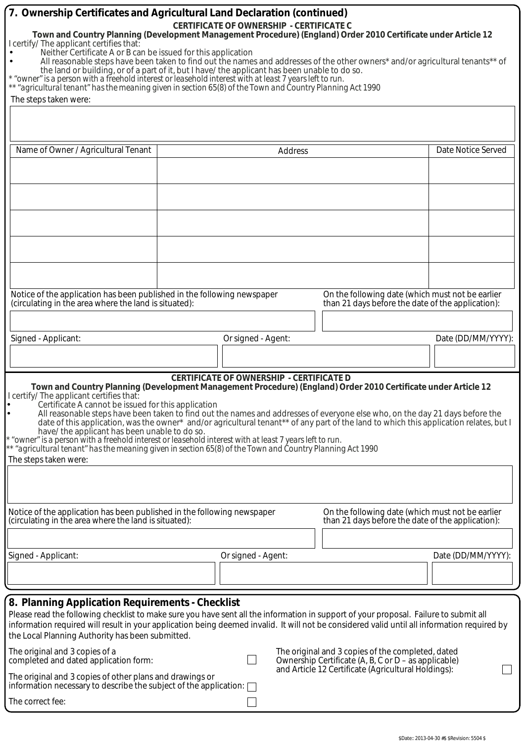| 7. Ownership Certificates and Agricultural Land Declaration (continued)<br>Town and Country Planning (Development Management Procedure) (England) Order 2010 Certificate under Article 12<br>I certify/ The applicant certifies that:<br>Neither Certificate A or B can be issued for this application<br>All reasonable steps have been taken to find out the names and addresses of the other owners* and/or agricultural tenants** of<br>the land or building, or of a part of it, but I have/ the applicant has been unable to do so.<br>* "owner" is a person with a freehold interest or leasehold interest with at least 7 years left to run.<br>** "agricultural tenant" has the meaning given in section 65(8) of the Town and Country Planning Act 1990<br>The steps taken were:    | <b>CERTIFICATE OF OWNERSHIP - CERTIFICATE C</b> |         |                                                                                                           |                    |
|-----------------------------------------------------------------------------------------------------------------------------------------------------------------------------------------------------------------------------------------------------------------------------------------------------------------------------------------------------------------------------------------------------------------------------------------------------------------------------------------------------------------------------------------------------------------------------------------------------------------------------------------------------------------------------------------------------------------------------------------------------------------------------------------------|-------------------------------------------------|---------|-----------------------------------------------------------------------------------------------------------|--------------------|
| Name of Owner / Agricultural Tenant                                                                                                                                                                                                                                                                                                                                                                                                                                                                                                                                                                                                                                                                                                                                                           |                                                 | Address |                                                                                                           | Date Notice Served |
|                                                                                                                                                                                                                                                                                                                                                                                                                                                                                                                                                                                                                                                                                                                                                                                               |                                                 |         |                                                                                                           |                    |
|                                                                                                                                                                                                                                                                                                                                                                                                                                                                                                                                                                                                                                                                                                                                                                                               |                                                 |         |                                                                                                           |                    |
| Notice of the application has been published in the following newspaper<br>(circulating in the area where the land is situated):                                                                                                                                                                                                                                                                                                                                                                                                                                                                                                                                                                                                                                                              |                                                 |         | On the following date (which must not be earlier<br>than 21 days before the date of the application):     |                    |
| Signed - Applicant:                                                                                                                                                                                                                                                                                                                                                                                                                                                                                                                                                                                                                                                                                                                                                                           | Or signed - Agent:                              |         |                                                                                                           | Date (DD/MM/YYYY): |
|                                                                                                                                                                                                                                                                                                                                                                                                                                                                                                                                                                                                                                                                                                                                                                                               |                                                 |         |                                                                                                           |                    |
| Town and Country Planning (Development Management Procedure) (England) Order 2010 Certificate under Article 12<br>I certify/ The applicant certifies that:<br>Certificate A cannot be issued for this application<br>All reasonable steps have been taken to find out the names and addresses of everyone else who, on the day 21 days before the<br>date of this application, was the owner* and/or agricultural tenant** of any part of the land to which this application relates, but I<br>have/ the applicant has been unable to do so.<br>* "owner" is a person with a freehold interest or leasehold interest with at least 7 years left to run.<br>** "agricultural tenant" has the meaning given in section 65(8) of the Town and Country Planning Act 1990<br>The steps taken were: | <b>CERTIFICATE OF OWNERSHIP - CERTIFICATE D</b> |         |                                                                                                           |                    |
| Notice of the application has been published in the following newspaper<br>(circulating in the area where the land is situated):                                                                                                                                                                                                                                                                                                                                                                                                                                                                                                                                                                                                                                                              |                                                 |         | On the following date (which must not be earlier<br>than 21 days before the date of the application):     |                    |
| Signed - Applicant:                                                                                                                                                                                                                                                                                                                                                                                                                                                                                                                                                                                                                                                                                                                                                                           | Or signed - Agent:                              |         |                                                                                                           | Date (DD/MM/YYYY): |
|                                                                                                                                                                                                                                                                                                                                                                                                                                                                                                                                                                                                                                                                                                                                                                                               |                                                 |         |                                                                                                           |                    |
| 8. Planning Application Requirements - Checklist<br>Please read the following checklist to make sure you have sent all the information in support of your proposal. Failure to submit all<br>information required will result in your application being deemed invalid. It will not be considered valid until all information required by<br>the Local Planning Authority has been submitted.                                                                                                                                                                                                                                                                                                                                                                                                 |                                                 |         |                                                                                                           |                    |
| The original and 3 copies of a<br>completed and dated application form:                                                                                                                                                                                                                                                                                                                                                                                                                                                                                                                                                                                                                                                                                                                       |                                                 |         | The original and 3 copies of the completed, dated<br>Ownership Certificate (A, B, C or D – as applicable) |                    |
| The original and 3 copies of other plans and drawings or<br>information necessary to describe the subject of the application: [                                                                                                                                                                                                                                                                                                                                                                                                                                                                                                                                                                                                                                                               |                                                 |         | and Article 12 Certificate (Agricultural Holdings):                                                       |                    |
| The correct fee:                                                                                                                                                                                                                                                                                                                                                                                                                                                                                                                                                                                                                                                                                                                                                                              |                                                 |         |                                                                                                           |                    |